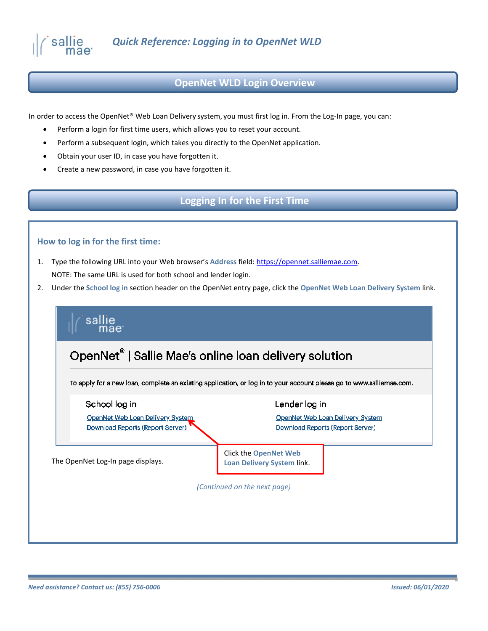

#### **OpenNet WLD Login Overview**

In order to access the OpenNet® Web Loan Delivery system, you must first log in. From the Log-In page, you can:

- Perform a login for first time users, which allows you to reset your account.
- Perform a subsequent login, which takes you directly to the OpenNet application.
- Obtain your user ID, in case you have forgotten it.
- Create a new password, in case you have forgotten it.

### **Logging In for the First Time**

#### **How to log in for the first time:**

- 1. Type the following URL into your Web browser's **Address** field: [https://opennet.salliemae.com.](https://opennet.salliemae.com/) NOTE: The same URL is used for both school and lender login.
- 2. Under the **School log in** section header on the OpenNet entry page, click the **OpenNet Web Loan Delivery System** link.

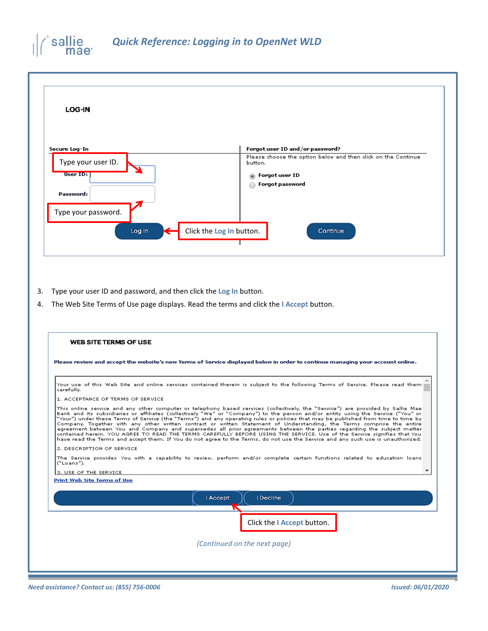



- 3. Type your user ID and password, and then click the **Log In** button.
- 4. The Web Site Terms of Use page displays. Read the terms and click the **I Accept** button.

| I Decline<br>Accept<br>Click the I Accept button.<br>(Continued on the next page) | <b>WEB SITE TERMS OF USE</b>                                                                                                                                                                                                                                                                                                                                                                                                                                                                                                                                                                                                                                                                                                                                                                                                                                                                                               |
|-----------------------------------------------------------------------------------|----------------------------------------------------------------------------------------------------------------------------------------------------------------------------------------------------------------------------------------------------------------------------------------------------------------------------------------------------------------------------------------------------------------------------------------------------------------------------------------------------------------------------------------------------------------------------------------------------------------------------------------------------------------------------------------------------------------------------------------------------------------------------------------------------------------------------------------------------------------------------------------------------------------------------|
|                                                                                   | Please review and accept the website's new Terms of Service displayed below in order to continue managing your account online.                                                                                                                                                                                                                                                                                                                                                                                                                                                                                                                                                                                                                                                                                                                                                                                             |
|                                                                                   | Your use of this Web Site and online services contained therein is subject to the following Terms of Service. Please read them<br>carefully.                                                                                                                                                                                                                                                                                                                                                                                                                                                                                                                                                                                                                                                                                                                                                                               |
|                                                                                   | 1. ACCEPTANCE OF TERMS OF SERVICE                                                                                                                                                                                                                                                                                                                                                                                                                                                                                                                                                                                                                                                                                                                                                                                                                                                                                          |
|                                                                                   | This online service and any other computer or telephony based services (collectively, the "Service") are provided by Sallie Mae<br>Bank and its subsidiaries or affiliates (collectively "We" or "Company") to the person and/or entity using the Service ("You" or<br>"Your") under these Terms of Service (the "Terms") and any operating rules or policies that may be published from time to time by<br>Company. Together with any other written contract or written Statement of Understanding, the Terms comprise the entire<br>agreement between You and Company and supersedes all prior agreements between the parties regarding the subject matter<br>contained herein. YOU AGREE TO READ THE TERMS CAREFULLY BEFORE USING THE SERVICE. Use of the Service signifies that You<br>have read the Terms and accept them. If You do not agree to the Terms, do not use the Service and any such use is unauthorized. |
|                                                                                   | 2. DESCRIPTION OF SERVICE                                                                                                                                                                                                                                                                                                                                                                                                                                                                                                                                                                                                                                                                                                                                                                                                                                                                                                  |
|                                                                                   | The Service provides You with a capability to review, perform and/or complete certain functions related to education loans<br>("Loans").                                                                                                                                                                                                                                                                                                                                                                                                                                                                                                                                                                                                                                                                                                                                                                                   |
|                                                                                   | 3. USE OF THE SERVICE                                                                                                                                                                                                                                                                                                                                                                                                                                                                                                                                                                                                                                                                                                                                                                                                                                                                                                      |
|                                                                                   | <b>Print Web Site Terms of Use</b>                                                                                                                                                                                                                                                                                                                                                                                                                                                                                                                                                                                                                                                                                                                                                                                                                                                                                         |
|                                                                                   |                                                                                                                                                                                                                                                                                                                                                                                                                                                                                                                                                                                                                                                                                                                                                                                                                                                                                                                            |
|                                                                                   |                                                                                                                                                                                                                                                                                                                                                                                                                                                                                                                                                                                                                                                                                                                                                                                                                                                                                                                            |
|                                                                                   |                                                                                                                                                                                                                                                                                                                                                                                                                                                                                                                                                                                                                                                                                                                                                                                                                                                                                                                            |
|                                                                                   |                                                                                                                                                                                                                                                                                                                                                                                                                                                                                                                                                                                                                                                                                                                                                                                                                                                                                                                            |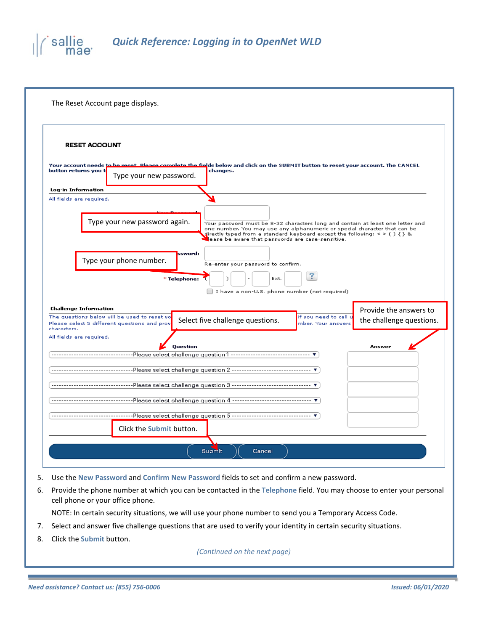## *Quick Reference: Logging in to OpenNet WLD* sallie

| The Reset Account page displays.                                                                                                                                                                                                                                                                                                |
|---------------------------------------------------------------------------------------------------------------------------------------------------------------------------------------------------------------------------------------------------------------------------------------------------------------------------------|
| <b>RESET ACCOUNT</b><br>Your account needs to be reset. Please complete the fields below and click on the SUBMIT button to reset your account. The CANCEL<br>button returns you t<br>changes.<br>Type your new password.                                                                                                        |
| Log-in Information<br>All fields are required.                                                                                                                                                                                                                                                                                  |
| Type your new password again.<br>Your password must be 8-32 characters long and contain at least one letter and<br>one number. You may use any alphanumeric or special character that can be<br>directly typed from a standard keyboard except the following: < > ( ) { } &<br>ease be aware that passwords are case-sensitive. |
| ssword:<br>Type your phone number.<br>Re-enter your password to confirm.<br>3<br>* Telephone:<br>Ext.<br>I have a non-U.S. phone number (not required)                                                                                                                                                                          |
| <b>Challenge Information</b><br>Provide the answers to<br>The questions below will be used to reset yo<br>if you need to call u<br>Select five challenge questions.<br>the challenge questions.<br>Please select 5 different questions and prov<br>mber. Your answer<br>characters.                                             |
| All fields are required.<br>Question<br>Answer<br>-------------------------------Please select challenge question 1 --------------------------------- ▼                                                                                                                                                                         |
|                                                                                                                                                                                                                                                                                                                                 |
|                                                                                                                                                                                                                                                                                                                                 |
|                                                                                                                                                                                                                                                                                                                                 |
|                                                                                                                                                                                                                                                                                                                                 |
|                                                                                                                                                                                                                                                                                                                                 |
| Click the Submit button.                                                                                                                                                                                                                                                                                                        |
| Submit<br>Cancel                                                                                                                                                                                                                                                                                                                |

- 5. Use the **New Password** and **Confirm New Password** fields to set and confirm a new password.
- 6. Provide the phone number at which you can be contacted in the **Telephone** field. You may choose to enter your personal cell phone or your office phone.

NOTE: In certain security situations, we will use your phone number to send you a Temporary Access Code.

- 7. Select and answer five challenge questions that are used to verify your identity in certain security situations.
- 8. Click the **Submit** button.

*(Continued on the next page)*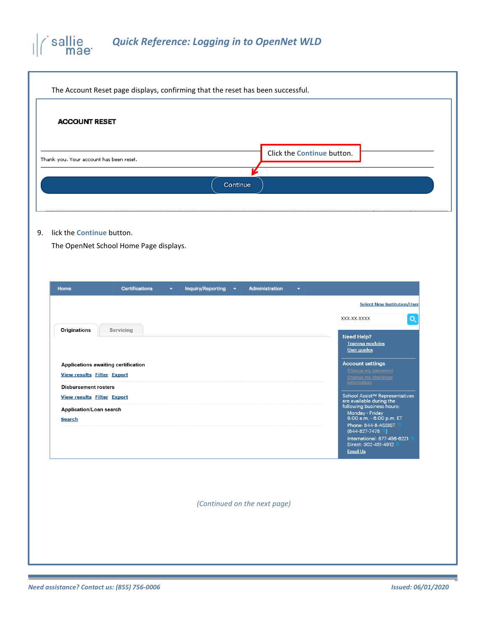# *Quick Reference: Logging in to OpenNet WLD*

| <b>ACCOUNT RESET</b>                                                                                                                              |                                                                                                                                                                                                                                                                                                                                                 |
|---------------------------------------------------------------------------------------------------------------------------------------------------|-------------------------------------------------------------------------------------------------------------------------------------------------------------------------------------------------------------------------------------------------------------------------------------------------------------------------------------------------|
| Thank you. Your account has been reset.                                                                                                           | Click the Continue button.                                                                                                                                                                                                                                                                                                                      |
|                                                                                                                                                   | Continue                                                                                                                                                                                                                                                                                                                                        |
| lick the Continue button.<br>The OpenNet School Home Page displays.                                                                               |                                                                                                                                                                                                                                                                                                                                                 |
| Home<br><b>Certifications</b><br><b>Inquiry/Reporting</b><br>۰<br><b>Originations</b><br>Servicing<br>Applications awaiting certification         | <b>Administration</b><br>$\overline{\phantom{a}}$<br>۰<br><b>Select New Institution/User</b><br>$\alpha$<br>XXX-XX-XXXX<br>Need Help?<br><b>Training modules</b><br>User guides<br><b>Account settings</b>                                                                                                                                      |
| <b>View results Filter Export</b><br><b>Disbursement rosters</b><br><b>View results Filter Export</b><br>Application/Loan search<br><b>Search</b> | Change my password<br><b>Change my challenge</b><br>information<br>School Assist <sup>sM</sup> Representatives<br>are available during the<br>following business hours:<br>Monday - Friday<br>9:00 a.m. - 6:00 p.m. ET<br>Phone: 844-8-ASSIST<br>$(844 - 827 - 7478)$<br>International: 877-456-6221<br>Direct: 302-451-4912<br><b>Email Us</b> |
|                                                                                                                                                   | (Continued on the next page)                                                                                                                                                                                                                                                                                                                    |

a i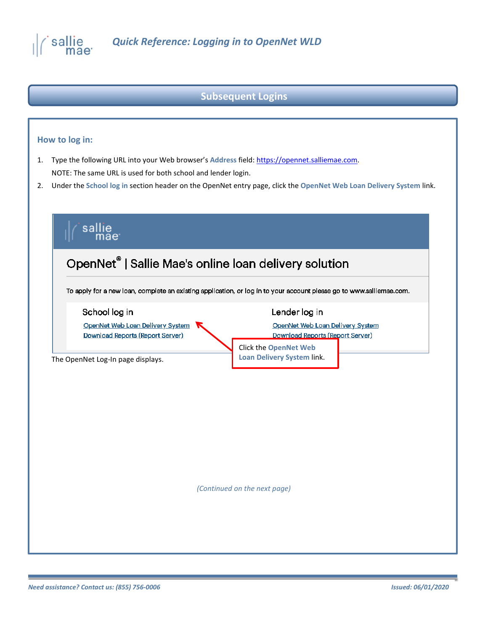

## **Subsequent Logins**

#### **How to log in:**

- 1. Type the following URL into your Web browser's **Address** field: [https://opennet.salliemae.com.](https://opennet.salliemae.com/) NOTE: The same URL is used for both school and lender login.
- 2. Under the **School log in** section header on the OpenNet entry page, click the **OpenNet Web Loan Delivery System** link.

|                                                                                       | To apply for a new loan, complete an existing application, or log in to your account please go to www.salliemae.com. |
|---------------------------------------------------------------------------------------|----------------------------------------------------------------------------------------------------------------------|
| School log in<br>OpenNet Web Loan Delivery System<br>Download Reports (Report Server) | Lender log in<br>OpenNet Web Loan Delivery System<br>Download Reports (Report Server)                                |
| The OpenNet Log-In page displays.                                                     | <b>Click the OpenNet Web</b><br><b>Loan Delivery System link.</b>                                                    |
|                                                                                       |                                                                                                                      |
|                                                                                       |                                                                                                                      |
|                                                                                       |                                                                                                                      |
|                                                                                       |                                                                                                                      |
|                                                                                       |                                                                                                                      |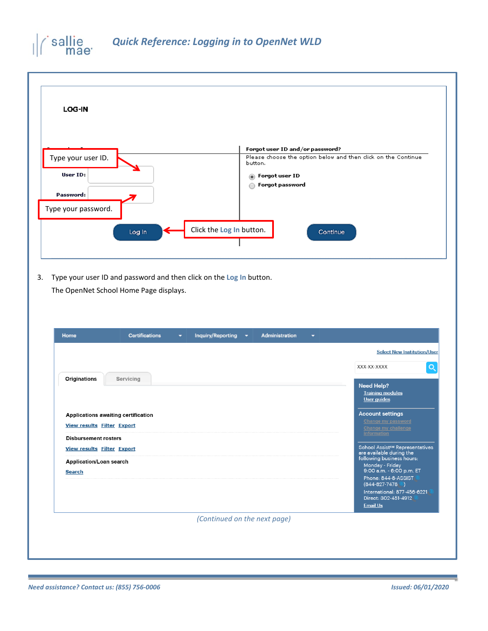## sallie<br>mae<sup>.</sup> *Quick Reference: Logging in to OpenNet WLD*

|                                                                                                                                                |                               | Forgot user ID and/or password?                                         |          |                                                                               |  |
|------------------------------------------------------------------------------------------------------------------------------------------------|-------------------------------|-------------------------------------------------------------------------|----------|-------------------------------------------------------------------------------|--|
| Type your user ID.                                                                                                                             |                               | Please choose the option below and then dick on the Continue<br>button. |          |                                                                               |  |
| User ID:                                                                                                                                       |                               | Forgot user ID<br>$\circledcirc$<br>Forgot password<br>◯                |          |                                                                               |  |
| Password:                                                                                                                                      |                               |                                                                         |          |                                                                               |  |
| Type your password.                                                                                                                            |                               |                                                                         |          |                                                                               |  |
| Log In                                                                                                                                         | Click the Log In button.      |                                                                         | Continue |                                                                               |  |
|                                                                                                                                                |                               |                                                                         |          |                                                                               |  |
| Type your user ID and password and then click on the Log In button.<br>The OpenNet School Home Page displays.<br>Home<br><b>Certifications</b> | <b>Inquiry/Reporting</b><br>۰ | <b>Administration</b><br>$\blacktriangledown$                           | ۰        |                                                                               |  |
|                                                                                                                                                |                               |                                                                         |          | <b>Select New Institution/User</b>                                            |  |
|                                                                                                                                                |                               |                                                                         |          | XXX-XX-XXXX                                                                   |  |
| <b>Originations</b><br>Servicing                                                                                                               |                               |                                                                         |          | <b>Need Help?</b><br><b>Training modules</b><br><b>User guides</b>            |  |
| Applications awaiting certification                                                                                                            |                               |                                                                         |          | <b>Account settings</b>                                                       |  |
| <b>View results Filter Export</b>                                                                                                              |                               |                                                                         |          | <b>Change my password</b><br><b>Change my challenge</b><br><i>information</i> |  |
| <b>Disbursement rosters</b><br><b>View results Filter Export</b>                                                                               |                               |                                                                         |          | School Assist <sup>sM</sup> Representatives<br>are available during the       |  |
| Application/Loan search<br><b>Search</b>                                                                                                       |                               |                                                                         |          | following business hours:<br>Monday - Friday<br>9:00 a.m. - 6:00 p.m. ET      |  |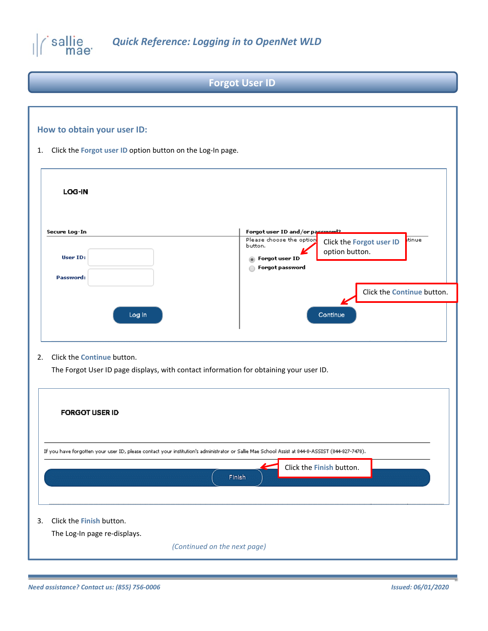

# **Forgot User ID**

## **How to obtain your user ID:**

1. Click the **Forgot user ID** option button on the Log-In page.

| LOG-IN                     |                                                                                                                                                      |
|----------------------------|------------------------------------------------------------------------------------------------------------------------------------------------------|
| Secure Log-In<br>User ID:  | Forgot user ID and/or password2<br>Please choose the option<br>tinue<br>Click the Forgot user ID<br>button.<br>option button.<br>Forgot user ID<br>⋒ |
| Password:                  | Forgot password<br>Click the Continue button.                                                                                                        |
| Log in                     | Continue                                                                                                                                             |
|                            |                                                                                                                                                      |
|                            | The Forgot User ID page displays, with contact information for obtaining your user ID.                                                               |
| <b>FORGOT USER ID</b>      |                                                                                                                                                      |
|                            | If you have forgotten your user ID, please contact your institution's administrator or Sallie Mae School Assist at 844-8-ASSIST (844-827-7478).      |
| Click the Continue button. | Click the Finish button.<br>Finish                                                                                                                   |

*(Continued on the next page)*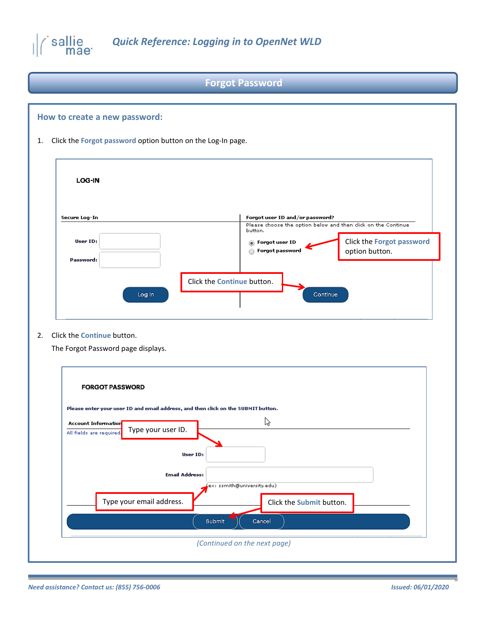

## **Forgot Password**

# **How to create a new password:** 1. Click the **Forgot password** option button on the Log-In page. LOG-IN Forgot user ID and/or password? Secure Log-In Please choose the option below and then click on the Continue button. User ID: O Forgot user ID Click the **Forgot password**   $\sum$  Forgot password option button. Password: Click the **Continue** button. Continue Log in

2. Click the **Continue** button.

The Forgot Password page displays.

| <b>FORGOT PASSWORD</b>     |                                                                                   |          |                              |                          |  |
|----------------------------|-----------------------------------------------------------------------------------|----------|------------------------------|--------------------------|--|
|                            | Please enter your user ID and email address, and then click on the SUBMIT button. |          |                              |                          |  |
| <b>Account Information</b> |                                                                                   |          | な                            |                          |  |
| All fields are required    | Type your user ID.                                                                |          |                              |                          |  |
|                            |                                                                                   | User ID: |                              |                          |  |
|                            | <b>Email Address:</b>                                                             |          |                              |                          |  |
|                            |                                                                                   |          | ex: ssmith@university.edu)   |                          |  |
|                            | Type your email address.                                                          |          |                              | Click the Submit button. |  |
|                            |                                                                                   | Submit   | Cancel                       |                          |  |
|                            |                                                                                   |          | (Continued on the next page) |                          |  |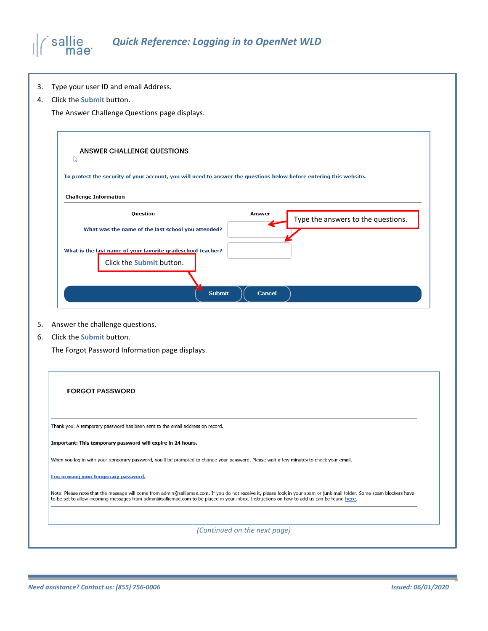#### *Quick Reference: Logging in to OpenNet WLD* sallie mae<sup>·</sup>

- 3. Type your user ID and email Address.
- 4. Click the **Submit** button.

The Answer Challenge Questions page displays.

| ANSWER CHALLENGE QUESTIONS<br>パ                                                                                    |        |                                    |
|--------------------------------------------------------------------------------------------------------------------|--------|------------------------------------|
| To protect the security of your account, you will need to answer the questions below before entering this website. |        |                                    |
| <b>Challenge Information</b>                                                                                       |        |                                    |
| Question<br>What was the name of the last school you attended?                                                     | Answer | Type the answers to the questions. |
| What is the last name of your favorite gradeschool teacher?<br>Click the Submit button.                            |        |                                    |
| <b>Submit</b>                                                                                                      | Cancel |                                    |

- 5. Answer the challenge questions.
- 6. Click the **Submit** button.

The Forgot Password Information page displays.

| <b>FORGOT PASSWORD</b>                                                                                                                                                                                                                                                                                               |
|----------------------------------------------------------------------------------------------------------------------------------------------------------------------------------------------------------------------------------------------------------------------------------------------------------------------|
| Thank you. A temporary password has been sent to the email address on record.                                                                                                                                                                                                                                        |
| Important: This temporary password will expire in 24 hours.                                                                                                                                                                                                                                                          |
| When you log in with your temporary password, you'll be prompted to change your password. Please wait a few minutes to check your email.                                                                                                                                                                             |
| Log in using your temporary password.                                                                                                                                                                                                                                                                                |
| Note: Please note that the message will come from admin@salliemae.com. If you do not receive it, please look in your spam or junk mail folder. Some spam blockers have<br>to be set to allow incoming messages from admin@salliemae.com to be placed in your inbox. Instructions on how to add us can be found here. |
|                                                                                                                                                                                                                                                                                                                      |
| (Continued on the next page)                                                                                                                                                                                                                                                                                         |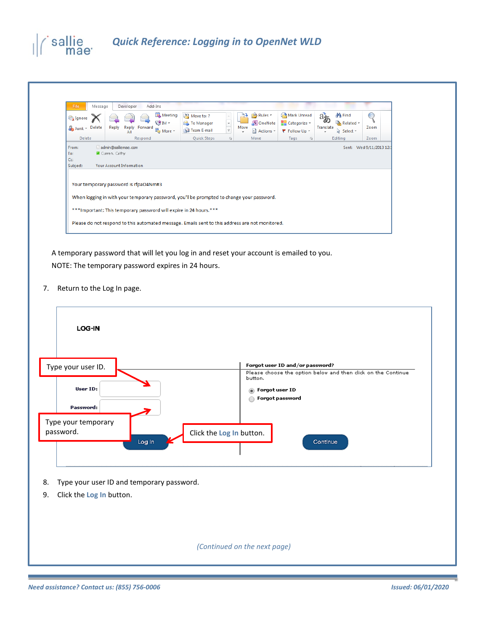

| File<br>Message<br>Ignore<br>Junk - Delete | Developer<br><b>Reply</b><br>All      | Add-Ins<br>Meeting<br><b>S</b> IM →<br>Reply Forward<br>More *                            | Move to: ?<br>To Manager<br>Team E-mail | $\overline{\mathbf{v}}$ | Rules -<br>N OneNote<br>Move<br>ी Actions ▼ | Mark Unread<br>$\Box$ Categorize $\sim$<br>₹ Follow Up ▼ | $a_{\delta}$<br>Translate<br>÷ | <b>给 Find</b><br>Related *<br>A Select ▼ | Zoom |  |
|--------------------------------------------|---------------------------------------|-------------------------------------------------------------------------------------------|-----------------------------------------|-------------------------|---------------------------------------------|----------------------------------------------------------|--------------------------------|------------------------------------------|------|--|
| Delete                                     |                                       | Respond                                                                                   | Quick Steps                             | <b>反。</b>               | Move                                        | Tags<br>反                                                |                                | Editing                                  | Zoom |  |
|                                            |                                       |                                                                                           |                                         |                         |                                             |                                                          |                                |                                          |      |  |
|                                            | <b>Your Account Information</b>       |                                                                                           |                                         |                         |                                             |                                                          |                                |                                          |      |  |
|                                            | Your temporary password is rfpaO4Nm#3 |                                                                                           |                                         |                         |                                             |                                                          |                                |                                          |      |  |
|                                            |                                       | When logging in with your temporary password, you'll be prompted to change your password. |                                         |                         |                                             |                                                          |                                |                                          |      |  |
| Cc<br>Subject:                             |                                       | *** Important: This temporary password will expire in 24 hours.***                        |                                         |                         |                                             |                                                          |                                |                                          |      |  |

A temporary password that will let you log in and reset your account is emailed to you. NOTE: The temporary password expires in 24 hours.

7. Return to the Log In page.

| LOG-IN                                          |                                                                          |
|-------------------------------------------------|--------------------------------------------------------------------------|
| Type your user ID.                              | Forgot user ID and/or password?                                          |
|                                                 | Please choose the option below and then click on the Continue<br>button. |
| User ID:                                        | Forgot user ID<br>۵                                                      |
|                                                 | Forgot password                                                          |
| Password:                                       |                                                                          |
| Type your temporary                             |                                                                          |
| password.<br>Log In                             | Click the Log In button.<br>Continue                                     |
| Type your user ID and temporary password.<br>8. |                                                                          |
| Click the Log In button.<br>9.                  |                                                                          |
|                                                 |                                                                          |
|                                                 | (Continued on the next page)                                             |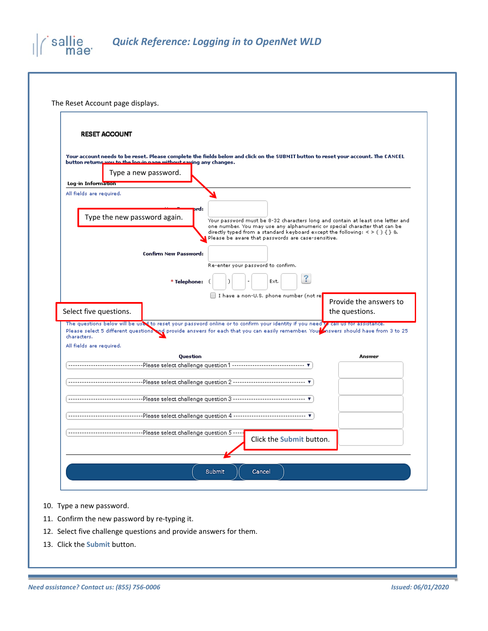

| <b>RESET ACCOUNT</b>                                              |                              |                                                                                                                                        |                          |                                                                                                                                                             |
|-------------------------------------------------------------------|------------------------------|----------------------------------------------------------------------------------------------------------------------------------------|--------------------------|-------------------------------------------------------------------------------------------------------------------------------------------------------------|
|                                                                   |                              | Your account needs to be reset. Please complete the fields below and click on the SUBMIT button to reset your account. The CANCEL      |                          |                                                                                                                                                             |
| button returns you to the log-in page without saying any changes. |                              |                                                                                                                                        |                          |                                                                                                                                                             |
| Type a new password.                                              |                              |                                                                                                                                        |                          |                                                                                                                                                             |
| Log-in Information                                                |                              |                                                                                                                                        |                          |                                                                                                                                                             |
| All fields are required.                                          |                              |                                                                                                                                        |                          |                                                                                                                                                             |
| Type the new password again.                                      |                              | brd:                                                                                                                                   |                          |                                                                                                                                                             |
|                                                                   |                              |                                                                                                                                        |                          | Your password must be 8-32 characters long and contain at least one letter and<br>one number. You may use any alphanumeric or special character that can be |
|                                                                   |                              | directly typed from a standard keyboard except the following: $\le$ > ( ) { } &.<br>Please be aware that passwords are case-sensitive. |                          |                                                                                                                                                             |
|                                                                   | <b>Confirm New Password:</b> |                                                                                                                                        |                          |                                                                                                                                                             |
|                                                                   |                              | Re-enter your password to confirm.                                                                                                     |                          |                                                                                                                                                             |
|                                                                   |                              |                                                                                                                                        | $\mathbf{?}$             |                                                                                                                                                             |
|                                                                   | * Telephone:                 | Ext.                                                                                                                                   |                          |                                                                                                                                                             |
|                                                                   |                              | I have a non-U.S. phone number (not re                                                                                                 |                          | Provide the answers to                                                                                                                                      |
| Select five questions.                                            |                              |                                                                                                                                        |                          | the questions.                                                                                                                                              |
|                                                                   |                              | The questions below will be used to reset your password online or to confirm your identity if you need of call us for assistance.      |                          |                                                                                                                                                             |
| characters.                                                       |                              | Please select 5 different questions and provide answers for each that you can easily remember. You nowers should have from 3 to 25     |                          |                                                                                                                                                             |
| All fields are required.                                          |                              |                                                                                                                                        |                          |                                                                                                                                                             |
|                                                                   | Question                     |                                                                                                                                        |                          | Answer                                                                                                                                                      |
|                                                                   |                              |                                                                                                                                        |                          |                                                                                                                                                             |
|                                                                   |                              |                                                                                                                                        |                          |                                                                                                                                                             |
|                                                                   |                              |                                                                                                                                        |                          |                                                                                                                                                             |
|                                                                   |                              |                                                                                                                                        |                          |                                                                                                                                                             |
|                                                                   |                              | Please select challenge question 4 ------------------------------- ▼                                                                   |                          |                                                                                                                                                             |
|                                                                   |                              | -----------Please select challenge question 5 ----                                                                                     |                          |                                                                                                                                                             |
|                                                                   |                              |                                                                                                                                        | Click the Submit button. |                                                                                                                                                             |

- 10. Type a new password.
- 11. Confirm the new password by re-typing it.
- 12. Select five challenge questions and provide answers for them.
- 13. Click the **Submit** button.